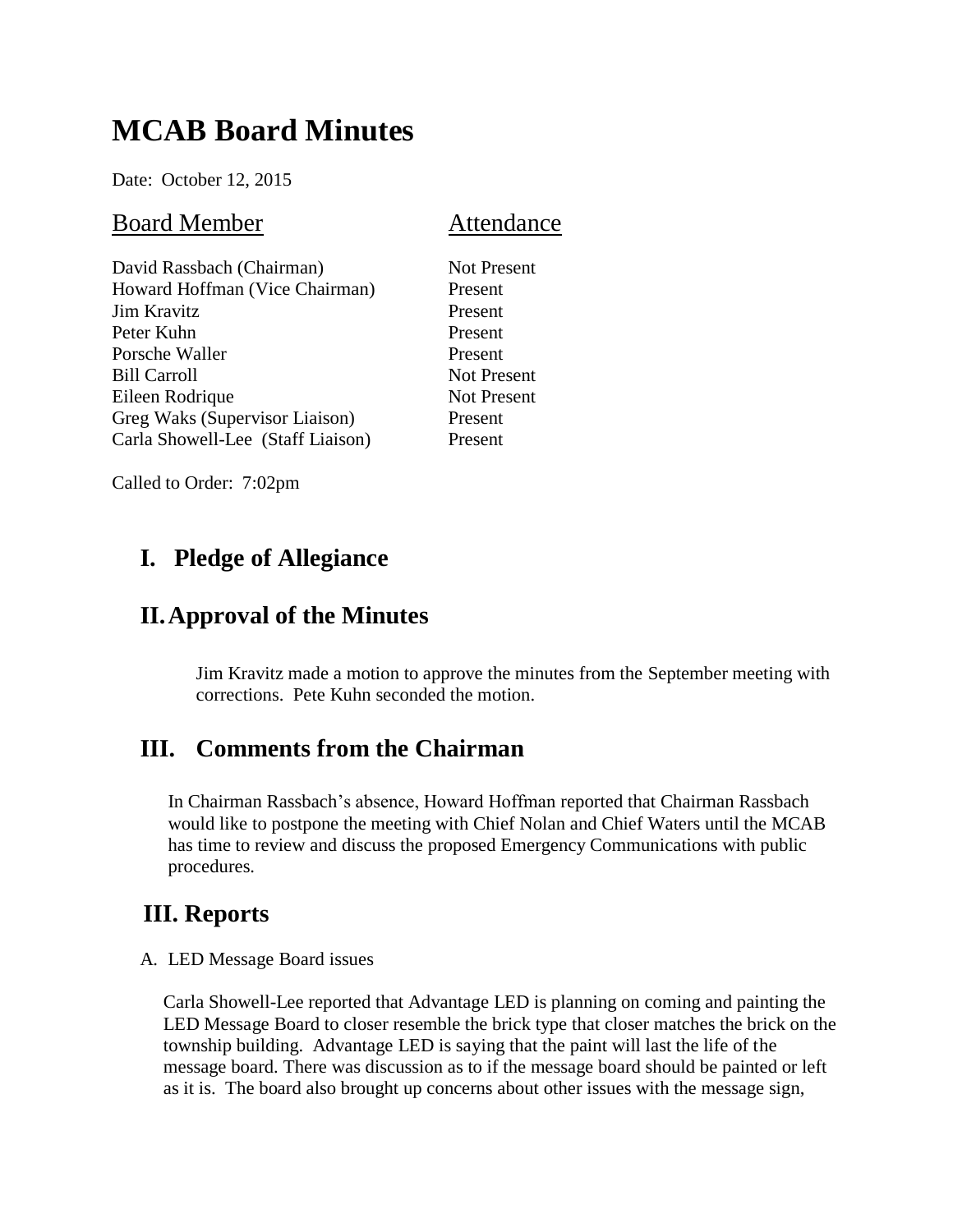# **MCAB Board Minutes**

Date: October 12, 2015

#### Board Member **Attendance**

| David Rassbach (Chairman)         |
|-----------------------------------|
| Howard Hoffman (Vice Chairman)    |
| Jim Kravitz                       |
| Peter Kuhn                        |
| Porsche Waller                    |
| <b>Bill Carroll</b>               |
| Eileen Rodrique                   |
| Greg Waks (Supervisor Liaison)    |
| Carla Showell-Lee (Staff Liaison) |
|                                   |

Not Present **Present** Present Present Present Not Present Not Present Present Present

Called to Order: 7:02pm

## **I. Pledge of Allegiance**

### **II.Approval of the Minutes**

Jim Kravitz made a motion to approve the minutes from the September meeting with corrections. Pete Kuhn seconded the motion.

### **III. Comments from the Chairman**

In Chairman Rassbach's absence, Howard Hoffman reported that Chairman Rassbach would like to postpone the meeting with Chief Nolan and Chief Waters until the MCAB has time to review and discuss the proposed Emergency Communications with public procedures.

### **III. Reports**

A. LED Message Board issues

Carla Showell-Lee reported that Advantage LED is planning on coming and painting the LED Message Board to closer resemble the brick type that closer matches the brick on the township building. Advantage LED is saying that the paint will last the life of the message board. There was discussion as to if the message board should be painted or left as it is. The board also brought up concerns about other issues with the message sign,